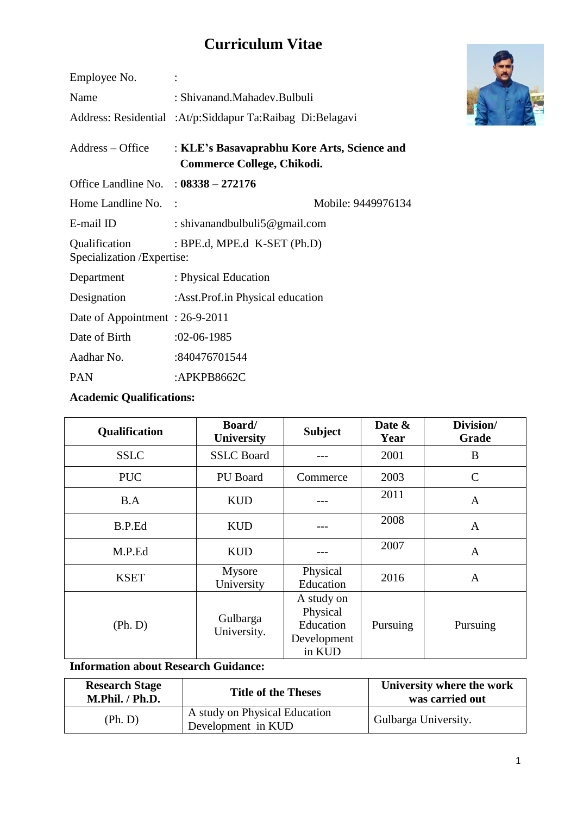# **Curriculum Vitae**

| Employee No.                                                                  |                                                                           |                    |
|-------------------------------------------------------------------------------|---------------------------------------------------------------------------|--------------------|
| Name                                                                          | : Shivanand.Mahadev.Bulbuli                                               |                    |
|                                                                               | Address: Residential :At/p:Siddapur Ta:Raibag Di:Belagavi                 |                    |
| $Address - Office$                                                            | : KLE's Basavaprabhu Kore Arts, Science and<br>Commerce College, Chikodi. |                    |
| Office Landline No. : $08338 - 272176$                                        |                                                                           |                    |
| Home Landline No. :                                                           |                                                                           | Mobile: 9449976134 |
| E-mail ID                                                                     | : shivanandbulbuli5@gmail.com                                             |                    |
| : BPE.d, MPE.d $K-SET$ (Ph.D)<br>Qualification<br>Specialization / Expertise: |                                                                           |                    |
| Department                                                                    | : Physical Education                                                      |                    |
| Designation                                                                   | :Asst.Prof.in Physical education                                          |                    |
| Date of Appointment: 26-9-2011                                                |                                                                           |                    |
| Date of Birth                                                                 | $:02-06-1985$                                                             |                    |
| Aadhar No.                                                                    | :840476701544                                                             |                    |
| <b>PAN</b>                                                                    | : $APKPB8662C$                                                            |                    |
|                                                                               |                                                                           |                    |

## **Academic Qualifications:**

| Qualification | <b>Board</b> /<br><b>University</b> | <b>Subject</b>                                               | Date &<br>Year | Division/<br>Grade |
|---------------|-------------------------------------|--------------------------------------------------------------|----------------|--------------------|
| <b>SSLC</b>   | <b>SSLC</b> Board                   |                                                              | 2001           | B                  |
| <b>PUC</b>    | PU Board                            | Commerce                                                     | 2003           | $\mathcal{C}$      |
| B.A           | <b>KUD</b>                          |                                                              | 2011           | $\mathbf{A}$       |
| B.P.Ed        | <b>KUD</b>                          |                                                              | 2008           | $\mathbf{A}$       |
| M.P.Ed        | <b>KUD</b>                          |                                                              | 2007           | $\mathbf{A}$       |
| <b>KSET</b>   | Mysore<br>University                | Physical<br>Education                                        | 2016           | A                  |
| (Ph. D)       | Gulbarga<br>University.             | A study on<br>Physical<br>Education<br>Development<br>in KUD | Pursuing       | Pursuing           |

#### **Information about Research Guidance:**

| <b>Research Stage</b><br>M.Phil. / Ph.D. | <b>Title of the Theses</b>                          | University where the work<br>was carried out |
|------------------------------------------|-----------------------------------------------------|----------------------------------------------|
| (Ph. D)                                  | A study on Physical Education<br>Development in KUD | Gulbarga University.                         |

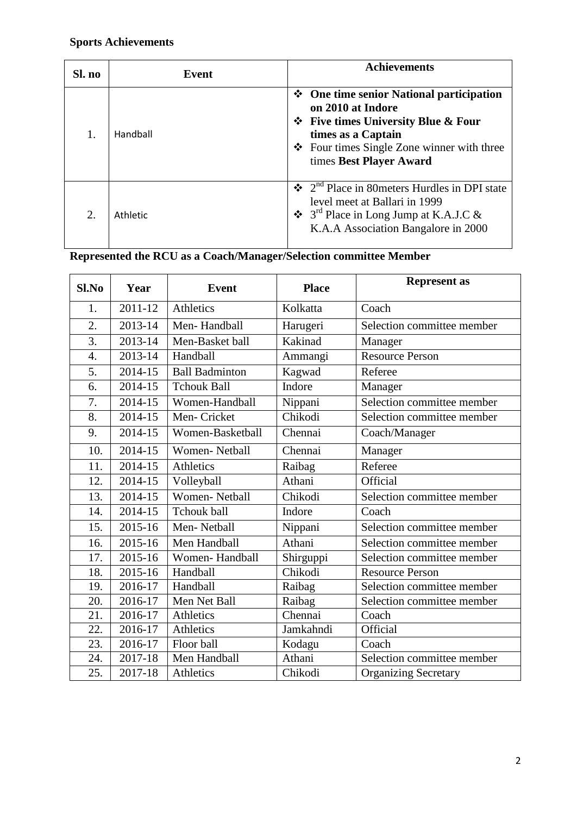## **Sports Achievements**

| Sl. no | Event    | <b>Achievements</b>                                                                                                                                                                                                |
|--------|----------|--------------------------------------------------------------------------------------------------------------------------------------------------------------------------------------------------------------------|
|        | Handball | $\div$ One time senior National participation<br>on 2010 at Indore<br>$\div$ Five times University Blue & Four<br>times as a Captain<br>$\div$ Four times Single Zone winner with three<br>times Best Player Award |
| 2.     | Athletic | $\div$ 2 <sup>nd</sup> Place in 80 meters Hurdles in DPI state<br>level meet at Ballari in 1999<br>$\div$ 3 <sup>rd</sup> Place in Long Jump at K.A.J.C &<br>K.A.A Association Bangalore in 2000                   |

## **Represented the RCU as a Coach/Manager/Selection committee Member**

| Sl.No            | Year    | <b>Event</b>          | <b>Place</b> | <b>Represent as</b>         |
|------------------|---------|-----------------------|--------------|-----------------------------|
| 1.               | 2011-12 | <b>Athletics</b>      | Kolkatta     | Coach                       |
| 2.               | 2013-14 | Men-Handball          | Harugeri     | Selection committee member  |
| 3.               | 2013-14 | Men-Basket ball       | Kakinad      | Manager                     |
| $\overline{4}$ . | 2013-14 | Handball              | Ammangi      | <b>Resource Person</b>      |
| 5.               | 2014-15 | <b>Ball Badminton</b> | Kagwad       | Referee                     |
| 6.               | 2014-15 | <b>Tchouk Ball</b>    | Indore       | Manager                     |
| 7.               | 2014-15 | Women-Handball        | Nippani      | Selection committee member  |
| 8.               | 2014-15 | Men-Cricket           | Chikodi      | Selection committee member  |
| 9.               | 2014-15 | Women-Basketball      | Chennai      | Coach/Manager               |
| 10.              | 2014-15 | <b>Women-Netball</b>  | Chennai      | Manager                     |
| 11.              | 2014-15 | <b>Athletics</b>      | Raibag       | Referee                     |
| 12.              | 2014-15 | Volleyball            | Athani       | Official                    |
| 13.              | 2014-15 | <b>Women-Netball</b>  | Chikodi      | Selection committee member  |
| 14.              | 2014-15 | <b>Tchouk ball</b>    | Indore       | Coach                       |
| 15.              | 2015-16 | Men-Netball           | Nippani      | Selection committee member  |
| 16.              | 2015-16 | Men Handball          | Athani       | Selection committee member  |
| 17.              | 2015-16 | Women-Handball        | Shirguppi    | Selection committee member  |
| 18.              | 2015-16 | Handball              | Chikodi      | <b>Resource Person</b>      |
| 19.              | 2016-17 | Handball              | Raibag       | Selection committee member  |
| 20.              | 2016-17 | Men Net Ball          | Raibag       | Selection committee member  |
| 21.              | 2016-17 | Athletics             | Chennai      | Coach                       |
| 22.              | 2016-17 | Athletics             | Jamkahndi    | Official                    |
| 23.              | 2016-17 | Floor ball            | Kodagu       | Coach                       |
| 24.              | 2017-18 | Men Handball          | Athani       | Selection committee member  |
| 25.              | 2017-18 | Athletics             | Chikodi      | <b>Organizing Secretary</b> |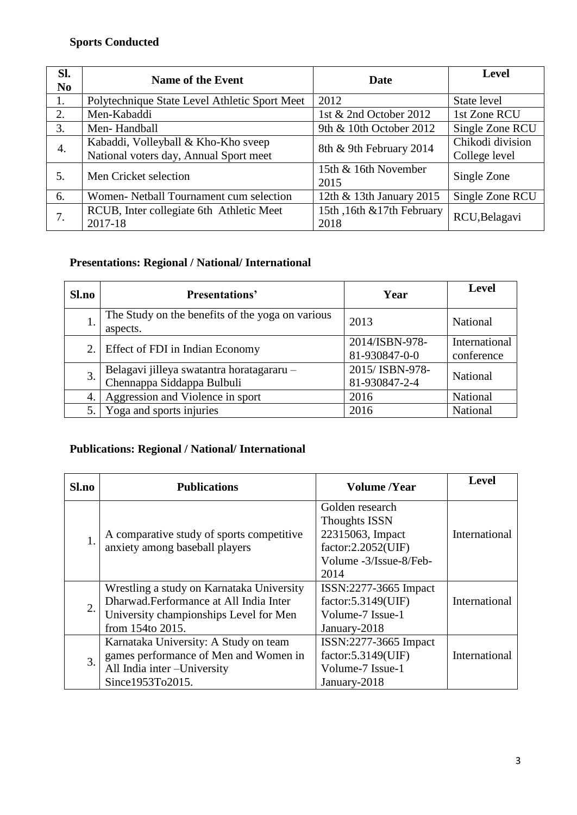## **Sports Conducted**

| SI.<br>N <sub>0</sub> | <b>Name of the Event</b>                                                      | Date                               | <b>Level</b>                      |
|-----------------------|-------------------------------------------------------------------------------|------------------------------------|-----------------------------------|
| 1.                    | Polytechnique State Level Athletic Sport Meet                                 | 2012                               | State level                       |
| 2.                    | Men-Kabaddi                                                                   | 1st & 2nd October 2012             | 1st Zone RCU                      |
| 3.                    | Men-Handball                                                                  | 9th & 10th October 2012            | Single Zone RCU                   |
| 4.                    | Kabaddi, Volleyball & Kho-Kho sveep<br>National voters day, Annual Sport meet | 8th & 9th February 2014            | Chikodi division<br>College level |
| 5.                    | Men Cricket selection                                                         | 15th & 16th November<br>2015       | Single Zone                       |
| 6.                    | Women- Netball Tournament cum selection                                       | 12th & 13th January 2015           | Single Zone RCU                   |
|                       | RCUB, Inter collegiate 6th Athletic Meet<br>2017-18                           | 15th, 16th & 17th February<br>2018 | RCU, Belagavi                     |

## **Presentations: Regional / National/ International**

| <b>Sl.no</b> | <b>Presentations'</b>                                                   | Year                             | <b>Level</b>                |
|--------------|-------------------------------------------------------------------------|----------------------------------|-----------------------------|
| ī.           | The Study on the benefits of the yoga on various<br>aspects.            | 2013                             | National                    |
| 2.           | Effect of FDI in Indian Economy                                         | 2014/ISBN-978-<br>81-930847-0-0  | International<br>conference |
| 3.           | Belagavi jilleya swatantra horatagararu -<br>Chennappa Siddappa Bulbuli | 2015/ ISBN-978-<br>81-930847-2-4 | National                    |
| 4.           | Aggression and Violence in sport                                        | 2016                             | National                    |
| 5.           | Yoga and sports injuries                                                | 2016                             | National                    |

## **Publications: Regional / National/ International**

| Sl.no | <b>Publications</b>                                                                                                                               | <b>Volume</b> /Year                                                                                                 | <b>Level</b>  |
|-------|---------------------------------------------------------------------------------------------------------------------------------------------------|---------------------------------------------------------------------------------------------------------------------|---------------|
| 1.    | A comparative study of sports competitive<br>anxiety among baseball players                                                                       | Golden research<br><b>Thoughts ISSN</b><br>22315063, Impact<br>factor:2.2052(UIF)<br>Volume -3/Issue-8/Feb-<br>2014 | International |
| 2.    | Wrestling a study on Karnataka University<br>Dharwad.Ferformance at All India Inter<br>University championships Level for Men<br>from 154to 2015. | ISSN:2277-3665 Impact<br>factor: 5.3149(UIF)<br>Volume-7 Issue-1<br>January-2018                                    | International |
| 3.    | Karnataka University: A Study on team<br>games performance of Men and Women in<br>All India inter-University<br>Since1953To2015.                  | ISSN:2277-3665 Impact<br>factor: 5.3149(UIF)<br>Volume-7 Issue-1<br>January-2018                                    | International |